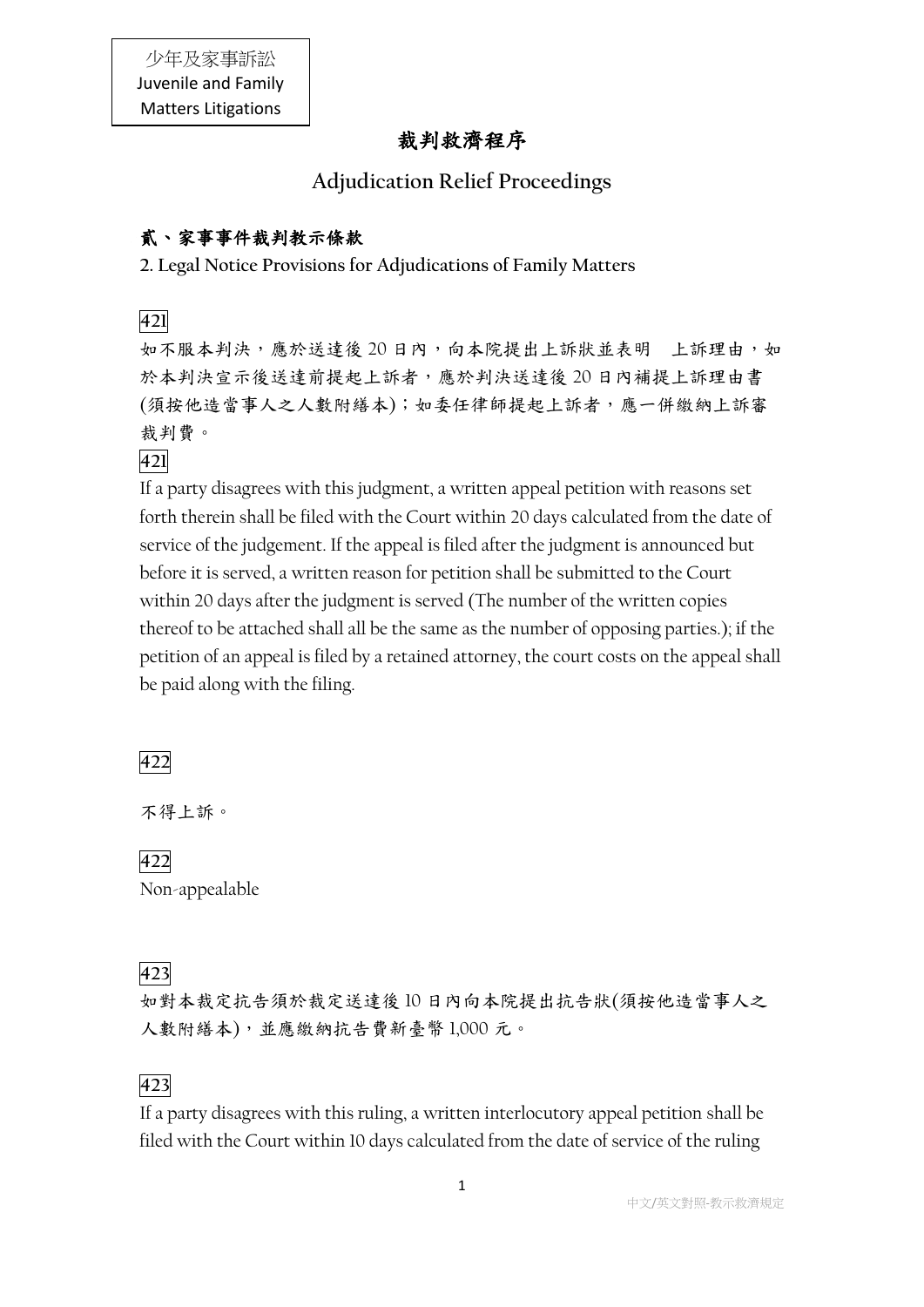## 裁判救濟程序

## **Adjudication Relief Proceedings**

### 貳、家事事件裁判教示條款

**2. Legal Notice Provisions for Adjudications of Family Matters**

**421**

如不服本判決,應於送達後 20日內,向本院提出上訴狀並表明 上訴理由,如 於本判決宣示後送達前提起上訴者,應於判決送達後 20 日內補提上訴理由書 (須按他造當事人之人數附繕本);如委任律師提起上訴者,應一併繳納上訴審 裁判費。

**421**

If a party disagrees with this judgment, a written appeal petition with reasons set forth therein shall be filed with the Court within 20 days calculated from the date of service of the judgement. If the appeal is filed after the judgment is announced but before it is served, a written reason for petition shall be submitted to the Court within 20 days after the judgment is served (The number of the written copies thereof to be attached shall all be the same as the number of opposing parties.); if the petition of an appeal is filed by a retained attorney, the court costs on the appeal shall be paid along with the filing.

**422**

不得上訴。

**422** Non-appealable

## **423**

如對本裁定抗告須於裁定送達後 10 日內向本院提出抗告狀(須按他造當事人之 人數附繕本),並應繳納抗告費新臺幣 1,000 元。

## **423**

If a party disagrees with this ruling, a written interlocutory appeal petition shall be filed with the Court within 10 days calculated from the date of service of the ruling

1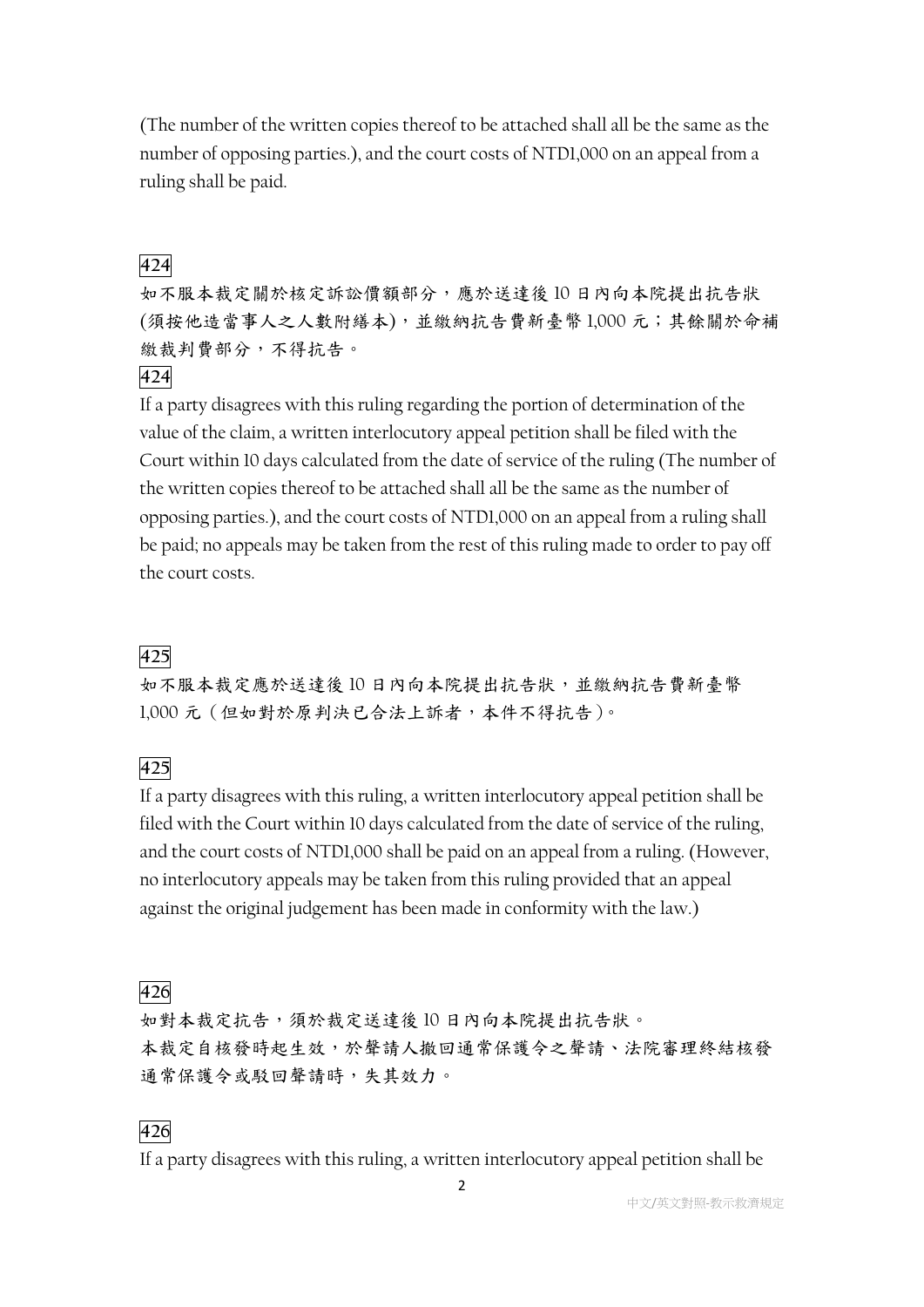(The number of the written copies thereof to be attached shall all be the same as the number of opposing parties.), and the court costs of NTD1,000 on an appeal from a ruling shall be paid.

### **424**

如不服本裁定關於核定訴訟價額部分,應於送達後 10 日內向本院提出抗告狀 (須按他造當事人之人數附繕本),並繳納抗告費新臺幣 1,000 元;其餘關於命補 繳裁判費部分,不得抗告。

#### **424**

If a party disagrees with this ruling regarding the portion of determination of the value of the claim, a written interlocutory appeal petition shall be filed with the Court within 10 days calculated from the date of service of the ruling (The number of the written copies thereof to be attached shall all be the same as the number of opposing parties.), and the court costs of NTD1,000 on an appeal from a ruling shall be paid; no appeals may be taken from the rest of this ruling made to order to pay off the court costs.

### **425**

如不服本裁定應於送達後 10 日內向本院提出抗告狀,並繳納抗告費新臺幣 1,000 元(但如對於原判決已合法上訴者,本件不得抗告)。

### **425**

If a party disagrees with this ruling, a written interlocutory appeal petition shall be filed with the Court within 10 days calculated from the date of service of the ruling, and the court costs of NTD1,000 shall be paid on an appeal from a ruling. (However, no interlocutory appeals may be taken from this ruling provided that an appeal against the original judgement has been made in conformity with the law.)

### **426**

如對本裁定抗告,須於裁定送達後 10 日內向本院提出抗告狀。 本裁定自核發時起生效,於聲請人撤回通常保護令之聲請、法院審理終結核發 通常保護令或駁回聲請時,失其效力。

### **426**

If a party disagrees with this ruling, a written interlocutory appeal petition shall be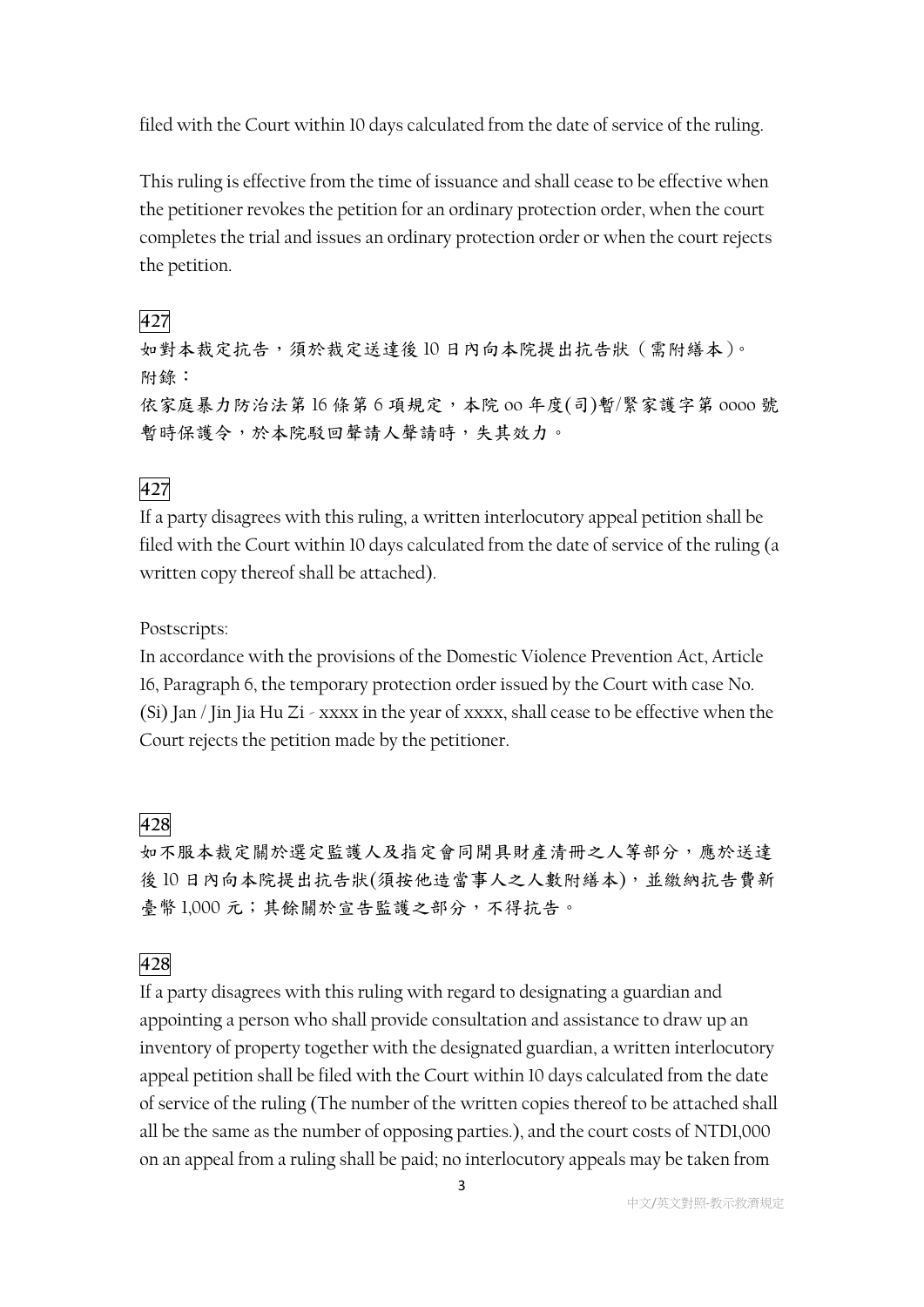filed with the Court within 10 days calculated from the date of service of the ruling.

This ruling is effective from the time of issuance and shall cease to be effective when the petitioner revokes the petition for an ordinary protection order, when the court completes the trial and issues an ordinary protection order or when the court rejects the petition.

## **427**

如對本裁定抗告,須於裁定送達後 10 日內向本院提出抗告狀(需附繕本)。 附錄: 依家庭暴力防治法第 16 條第 6 項規定,本院 oo 年度(司)暫/緊家護字第 oooo 號 暫時保護令,於本院駁回聲請人聲請時,失其效力。

## **427**

If a party disagrees with this ruling, a written interlocutory appeal petition shall be filed with the Court within 10 days calculated from the date of service of the ruling (a written copy thereof shall be attached).

## Postscripts:

In accordance with the provisions of the Domestic Violence Prevention Act, Article 16, Paragraph 6, the temporary protection order issued by the Court with case No. (Si) Jan / Jin Jia Hu Zi - xxxx in the year of xxxx, shall cease to be effective when the Court rejects the petition made by the petitioner.

## **428**

如不服本裁定關於選定監護人及指定會同開具財產清冊之人等部分,應於送達 後10日內向本院提出抗告狀(須按他造當事人之人數附繕本),並繳納抗告費新 臺幣 1,000元;其餘關於宣告監護之部分,不得抗告。

## **428**

If a party disagrees with this ruling with regard to designating a guardian and appointing a person who shall provide consultation and assistance to draw up an inventory of property together with the designated guardian, a written interlocutory appeal petition shall be filed with the Court within 10 days calculated from the date of service of the ruling (The number of the written copies thereof to be attached shall all be the same as the number of opposing parties.), and the court costs of NTD1,000 on an appeal from a ruling shall be paid; no interlocutory appeals may be taken from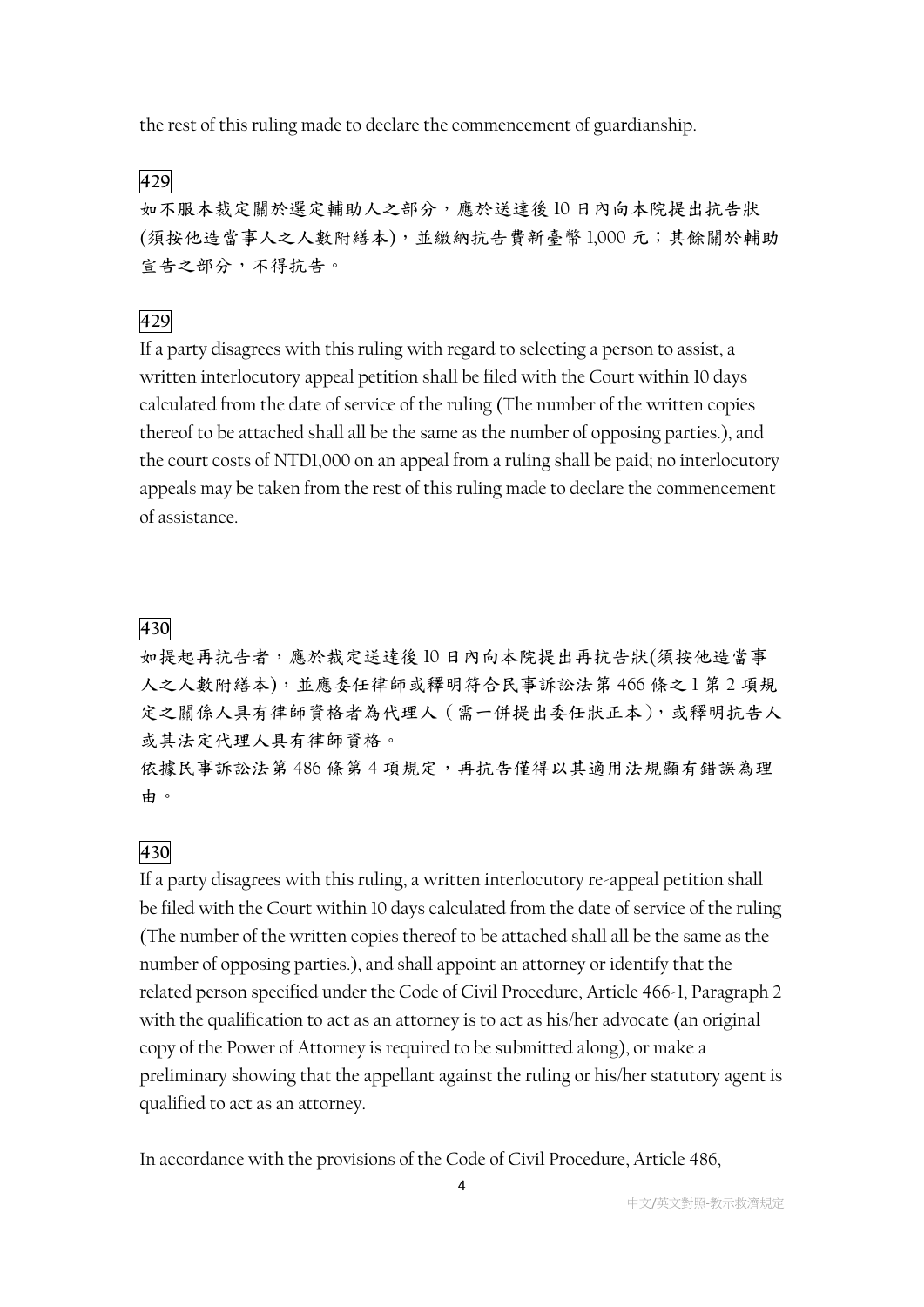the rest of this ruling made to declare the commencement of guardianship.

**429**

如不服本裁定關於選定輔助人之部分,應於送達後 10 日內向本院提出抗告狀 (須按他造當事人之人數附繕本),並繳納抗告費新臺幣 1,000 元;其餘關於輔助 宣告之部分,不得抗告。

### **429**

If a party disagrees with this ruling with regard to selecting a person to assist, a written interlocutory appeal petition shall be filed with the Court within 10 days calculated from the date of service of the ruling (The number of the written copies thereof to be attached shall all be the same as the number of opposing parties.), and the court costs of NTD1,000 on an appeal from a ruling shall be paid; no interlocutory appeals may be taken from the rest of this ruling made to declare the commencement of assistance.

### **430**

如提起再抗告者,應於裁定送達後 10 日內向本院提出再抗告狀(須按他造當事 人之人數附繕本),並應委任律師或釋明符合民事訴訟法第 466 條之 1 第 2 項規 定之關係人具有律師資格者為代理人(需一併提出委任狀正本),或釋明抗告人 或其法定代理人具有律師資格。

依據民事訴訟法第 486 條第 4 項規定,再抗告僅得以其適用法規顯有錯誤為理 由。

### **430**

If a party disagrees with this ruling, a written interlocutory re-appeal petition shall be filed with the Court within 10 days calculated from the date of service of the ruling (The number of the written copies thereof to be attached shall all be the same as the number of opposing parties.), and shall appoint an attorney or identify that the related person specified under the Code of Civil Procedure, Article 466-1, Paragraph 2 with the qualification to act as an attorney is to act as his/her advocate (an original copy of the Power of Attorney is required to be submitted along), or make a preliminary showing that the appellant against the ruling or his/her statutory agent is qualified to act as an attorney.

In accordance with the provisions of the Code of Civil Procedure, Article 486,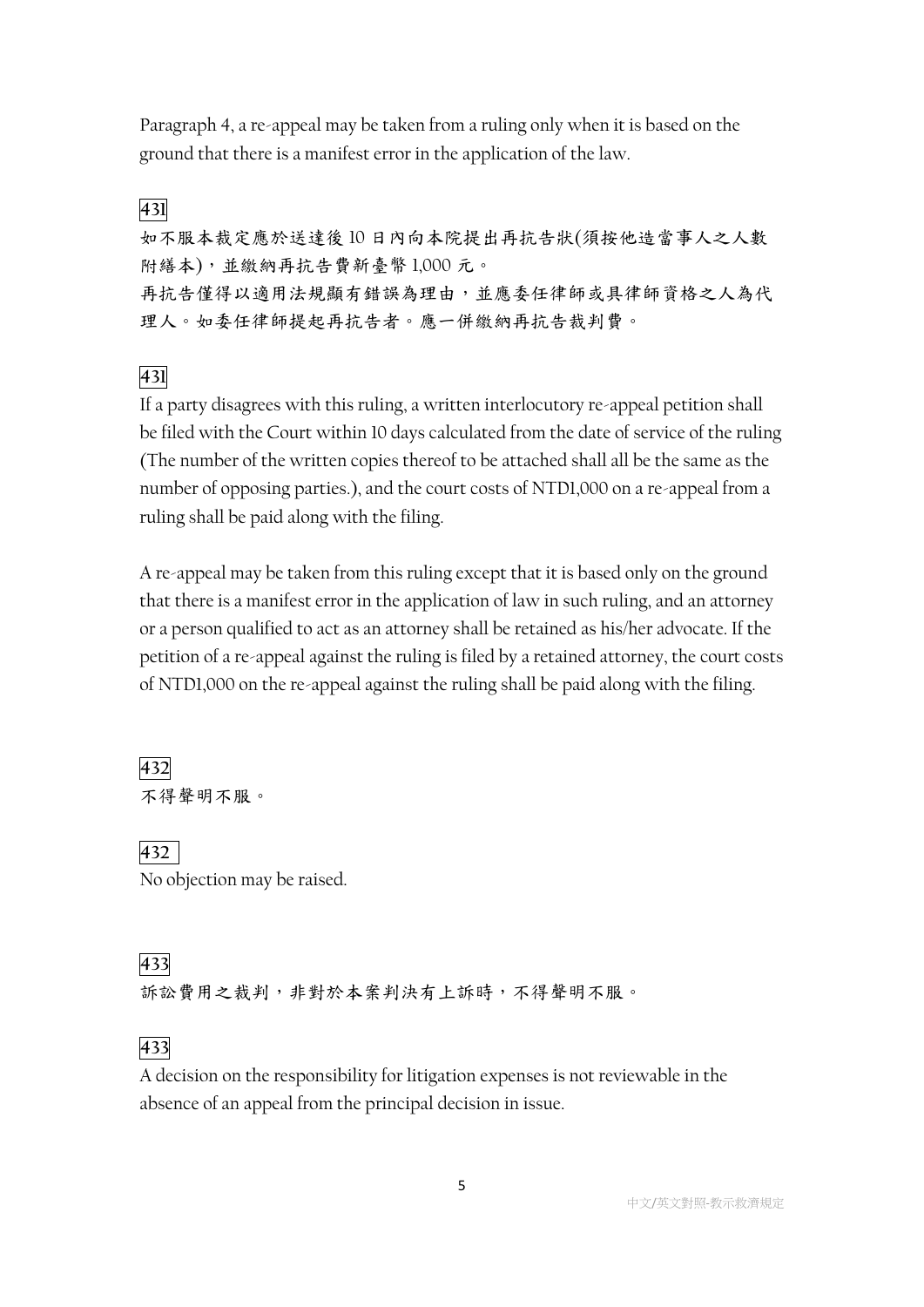Paragraph 4, a re-appeal may be taken from a ruling only when it is based on the ground that there is a manifest error in the application of the law.

### **431**

如不服本裁定應於送達後 10 日內向本院提出再抗告狀(須按他造當事人之人數 附繕本),並繳納再抗告費新臺幣 1,000 元。 再抗告僅得以適用法規顯有錯誤為理由,並應委任律師或具律師資格之人為代 理人。如委任律師提起再抗告者。應一併繳納再抗告裁判費。

### **431**

If a party disagrees with this ruling, a written interlocutory re-appeal petition shall be filed with the Court within 10 days calculated from the date of service of the ruling (The number of the written copies thereof to be attached shall all be the same as the number of opposing parties.), and the court costs of NTD1,000 on a re-appeal from a ruling shall be paid along with the filing.

A re-appeal may be taken from this ruling except that it is based only on the ground that there is a manifest error in the application of law in such ruling, and an attorney or a person qualified to act as an attorney shall be retained as his/her advocate. If the petition of a re-appeal against the ruling is filed by a retained attorney, the court costs of NTD1,000 on the re-appeal against the ruling shall be paid along with the filing.

## **432** 不得聲明不服。

**432** No objection may be raised.

## **433**

訴訟費用之裁判,非對於本案判決有上訴時,不得聲明不服。

## **433**

A decision on the responsibility for litigation expenses is not reviewable in the absence of an appeal from the principal decision in issue.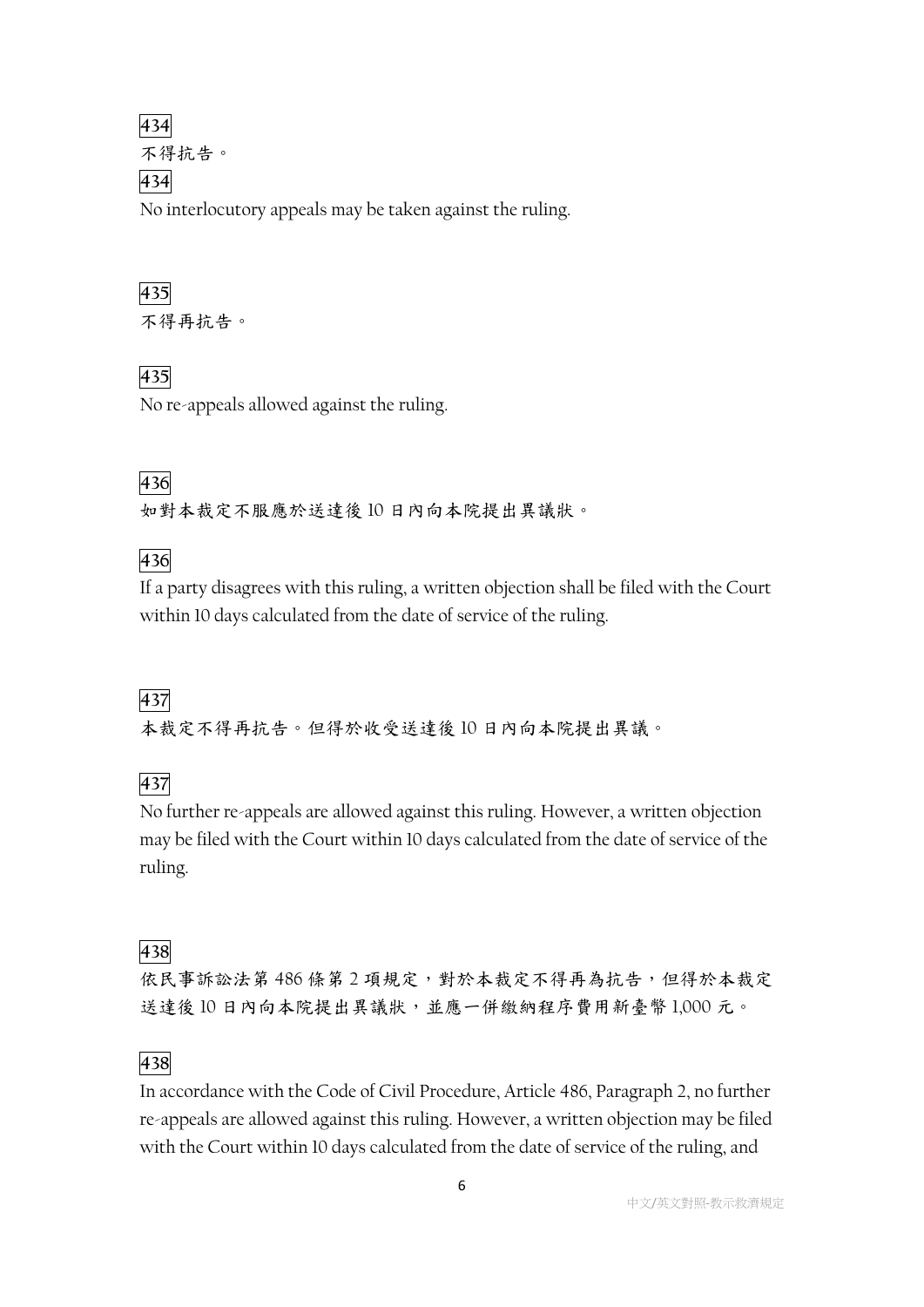## **434** 不得抗告。 **434** No interlocutory appeals may be taken against the ruling.

# **435**

不得再抗告。

## **435**

No re-appeals allowed against the ruling.

## **436**

如對本裁定不服應於送達後 10 日內向本院提出異議狀。

## **436**

If a party disagrees with this ruling, a written objection shall be filed with the Court within 10 days calculated from the date of service of the ruling.

## **437**

本裁定不得再抗告。但得於收受送達後 10 日內向本院提出異議。

## **437**

No further re-appeals are allowed against this ruling. However, a written objection may be filed with the Court within 10 days calculated from the date of service of the ruling.

## **438**

依民事訴訟法第 486 條第 2 項規定,對於本裁定不得再為抗告,但得於本裁定 送達後 10 日內向本院提出異議狀,並應一併繳納程序費用新臺幣 1,000 元。

## **438**

In accordance with the Code of Civil Procedure, Article 486, Paragraph 2, no further re-appeals are allowed against this ruling. However, a written objection may be filed with the Court within 10 days calculated from the date of service of the ruling, and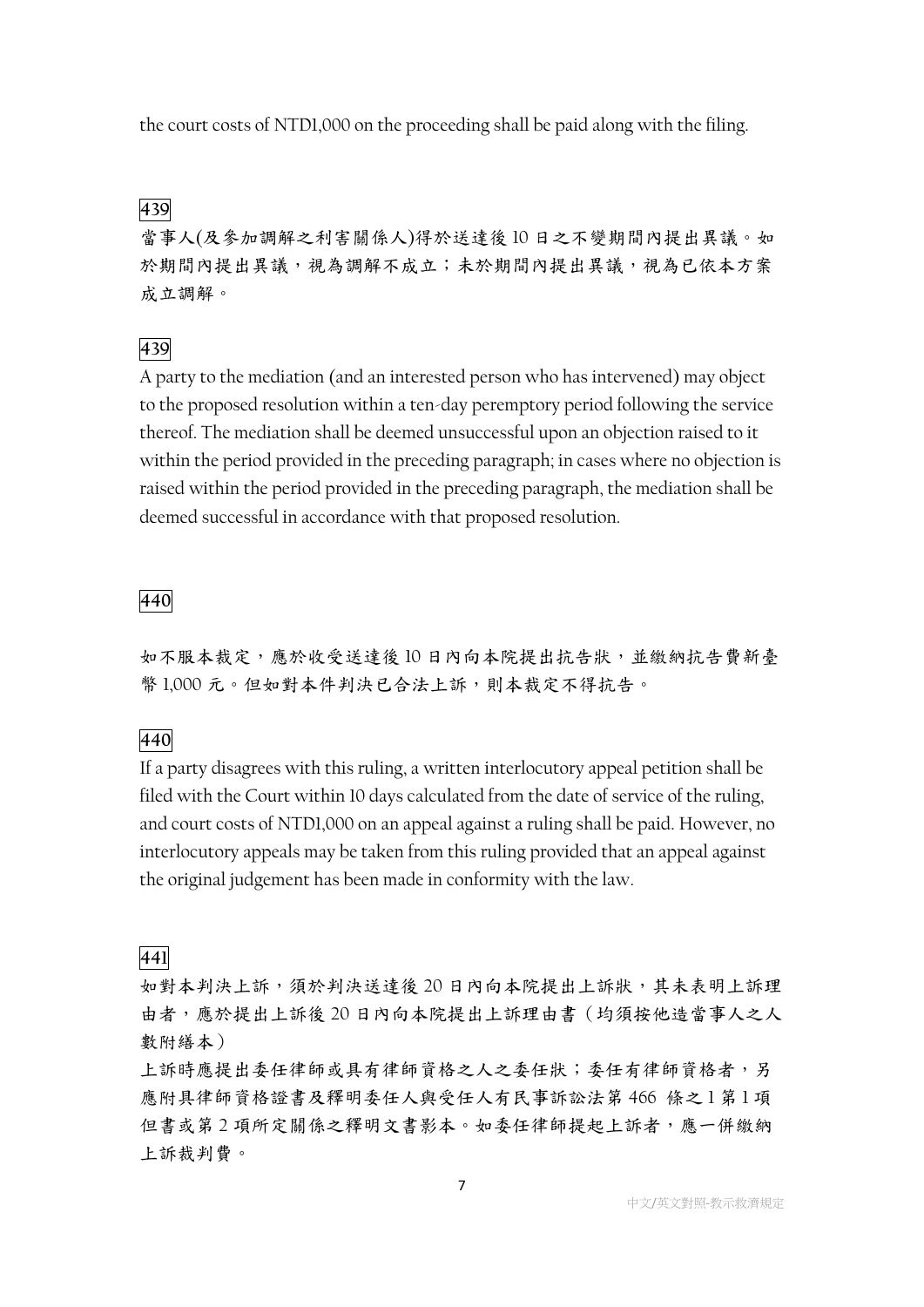the court costs of NTD1,000 on the proceeding shall be paid along with the filing.

### **439**

當事人(及參加調解之利害關係人)得於送達後 10 日之不變期間內提出異議。如 於期間內提出異議,視為調解不成立;未於期間內提出異議,視為已依本方案 成立調解。

### **439**

A party to the mediation (and an interested person who has intervened) may object to the proposed resolution within a ten-day peremptory period following the service thereof. The mediation shall be deemed unsuccessful upon an objection raised to it within the period provided in the preceding paragraph; in cases where no objection is raised within the period provided in the preceding paragraph, the mediation shall be deemed successful in accordance with that proposed resolution.

#### **440**

如不服本裁定,應於收受送達後 10 日內向本院提出抗告狀,並繳納抗告費新臺 幣 1,000 元。但如對本件判決已合法上訴,則本裁定不得抗告。

### **440**

If a party disagrees with this ruling, a written interlocutory appeal petition shall be filed with the Court within 10 days calculated from the date of service of the ruling, and court costs of NTD1,000 on an appeal against a ruling shall be paid. However, no interlocutory appeals may be taken from this ruling provided that an appeal against the original judgement has been made in conformity with the law.

#### **441**

如對本判決上訴,須於判決送達後20日內向本院提出上訴狀,其未表明上訴理 由者,應於提出上訴後20日內向本院提出上訴理由書(均須按他造當事人之人 數附繕本)

上訴時應提出委任律師或具有律師資格之人之委任狀;委任有律師資格者,另 應附具律師資格證書及釋明委任人與受任人有民事訴訟法第 466 條之1 第1項 但書或第 2 項所定關係之釋明文書影本。如委任律師提起上訴者,應一併繳納 上訴裁判費。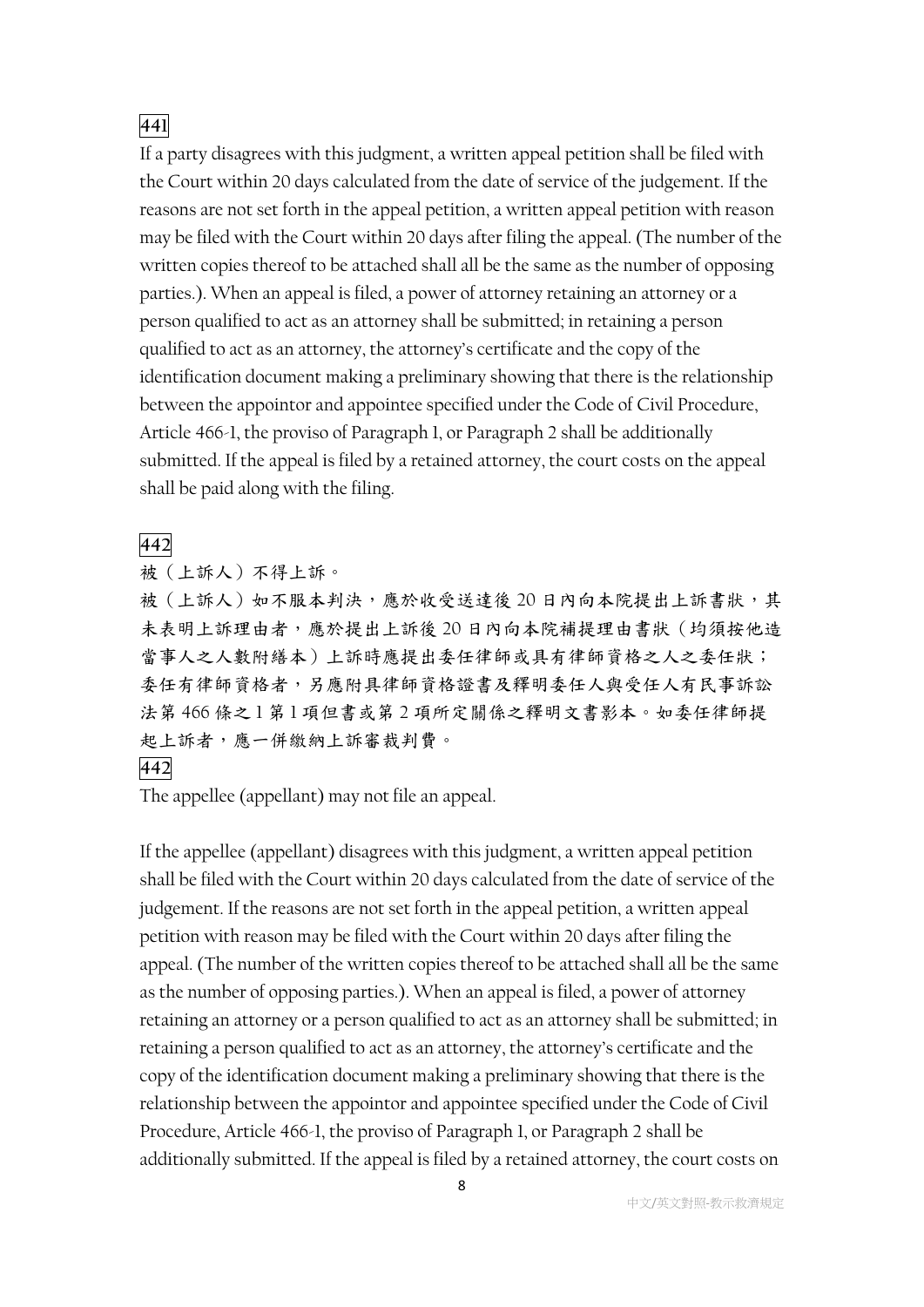### **441**

If a party disagrees with this judgment, a written appeal petition shall be filed with the Court within 20 days calculated from the date of service of the judgement. If the reasons are not set forth in the appeal petition, a written appeal petition with reason may be filed with the Court within 20 days after filing the appeal. (The number of the written copies thereof to be attached shall all be the same as the number of opposing parties.). When an appeal is filed, a power of attorney retaining an attorney or a person qualified to act as an attorney shall be submitted; in retaining a person qualified to act as an attorney, the attorney's certificate and the copy of the identification document making a preliminary showing that there is the relationship between the appointor and appointee specified under the Code of Civil Procedure, Article 466-1, the proviso of Paragraph 1, or Paragraph 2 shall be additionally submitted. If the appeal is filed by a retained attorney, the court costs on the appeal shall be paid along with the filing.

#### **442**

被(上訴人)不得上訴。

被(上訴人)如不服本判決,應於收受送達後20日內向本院提出上訴書狀,其 未表明上訴理由者,應於提出上訴後 20 日內向本院補提理由書狀(均須按他造 當事人之人數附繕本)上訴時應提出委任律師或具有律師資格之人之委任狀; 委任有律師資格昇律師資格證書及釋明委任人與受任人有民事訴訟 法第466條之1第1項但書或第2項所定關係之釋明文書影本。如委任律師提 起上訴者,應一併繳納上訴審裁判費。

#### **442**

The appellee (appellant) may not file an appeal.

If the appellee (appellant) disagrees with this judgment, a written appeal petition shall be filed with the Court within 20 days calculated from the date of service of the judgement. If the reasons are not set forth in the appeal petition, a written appeal petition with reason may be filed with the Court within 20 days after filing the appeal. (The number of the written copies thereof to be attached shall all be the same as the number of opposing parties.). When an appeal is filed, a power of attorney retaining an attorney or a person qualified to act as an attorney shall be submitted; in retaining a person qualified to act as an attorney, the attorney's certificate and the copy of the identification document making a preliminary showing that there is the relationship between the appointor and appointee specified under the Code of Civil Procedure, Article 466-1, the proviso of Paragraph 1, or Paragraph 2 shall be additionally submitted. If the appeal is filed by a retained attorney, the court costs on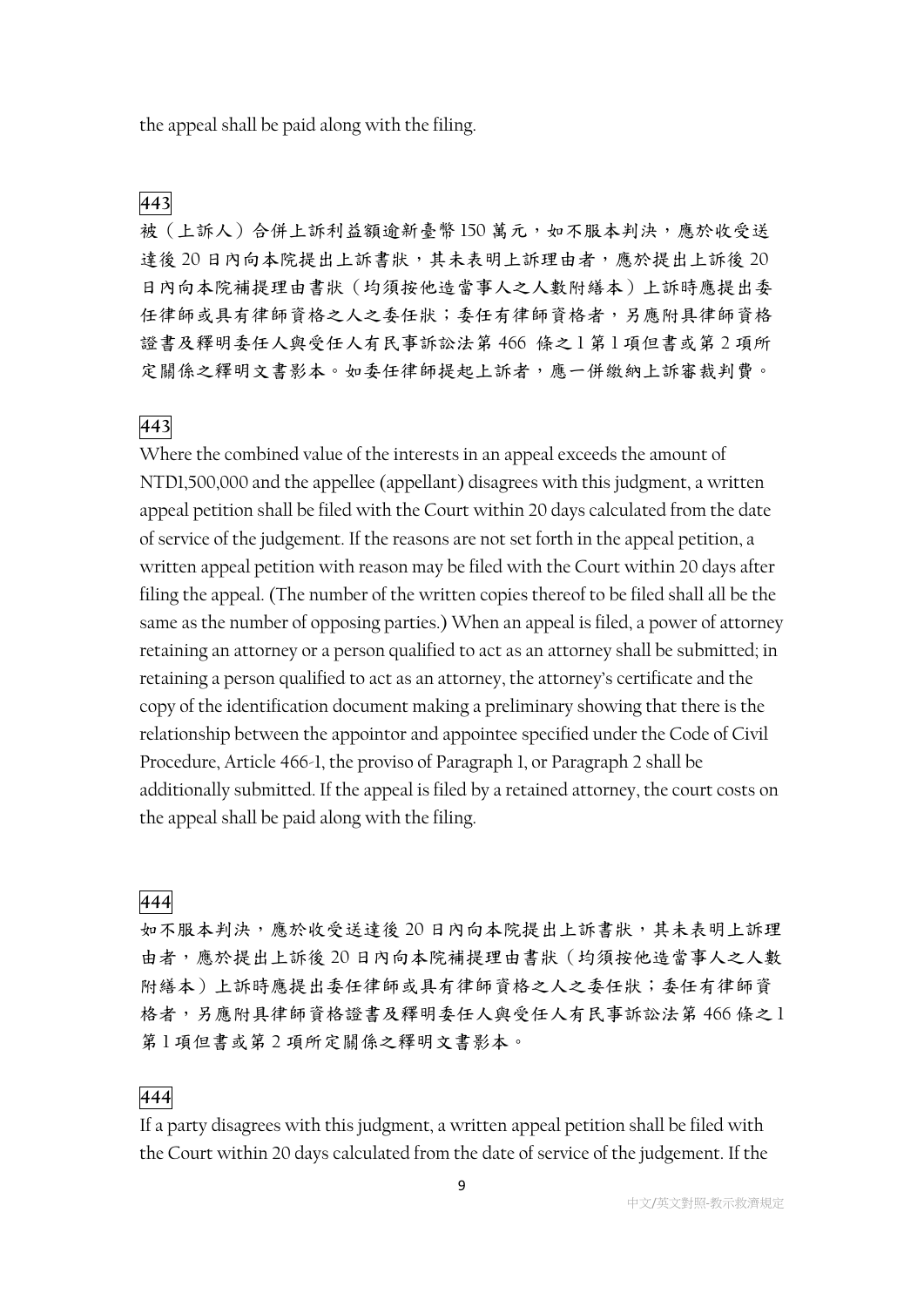the appeal shall be paid along with the filing.

### **443**

被(上訴人)合併上訴利益額逾新臺幣150萬元,如不服本判決,應於收受送 達後 20 日內向本院提出上訴書狀,其未表明上訴理由者,應於提出上訴後 20 日內向本院補提理由書狀(均須按他造當事人之人數附繕本)上訴時應提出委 任律師或具有律師資格之人之委任狀;委任有律師資格者,另應附具律師資格 證書及釋明委任人與受任人有民事訴訟法第 466 條之1第1項但書或第2項所 定關係之釋明文書影本。如委任律師提起上訴者,應一併繳納上訴審裁判費。

### **443**

Where the combined value of the interests in an appeal exceeds the amount of NTD1,500,000 and the appellee (appellant) disagrees with this judgment, a written appeal petition shall be filed with the Court within 20 days calculated from the date of service of the judgement. If the reasons are not set forth in the appeal petition, a written appeal petition with reason may be filed with the Court within 20 days after filing the appeal. (The number of the written copies thereof to be filed shall all be the same as the number of opposing parties.) When an appeal is filed, a power of attorney retaining an attorney or a person qualified to act as an attorney shall be submitted; in retaining a person qualified to act as an attorney, the attorney's certificate and the copy of the identification document making a preliminary showing that there is the relationship between the appointor and appointee specified under the Code of Civil Procedure, Article 466-1, the proviso of Paragraph 1, or Paragraph 2 shall be additionally submitted. If the appeal is filed by a retained attorney, the court costs on the appeal shall be paid along with the filing.

#### **444**

如不服本判決,應於收受送達後 20 日內向本院提出上訴書狀,其未表明上訴理 由者,應於提出上訴後 20 日內向本院補提理由書狀(均須按他造當事人之人數 附繕本)上訴時應提出委任律師或具有律師資格之人之委任狀;委任有律師資 格者,另應附具律師資格證書及釋明委任人與受任人有民事訴訟法第 466 條之 1 第 1 項但書或第 2 項所定關係之釋明文書影本。

#### **444**

If a party disagrees with this judgment, a written appeal petition shall be filed with the Court within 20 days calculated from the date of service of the judgement. If the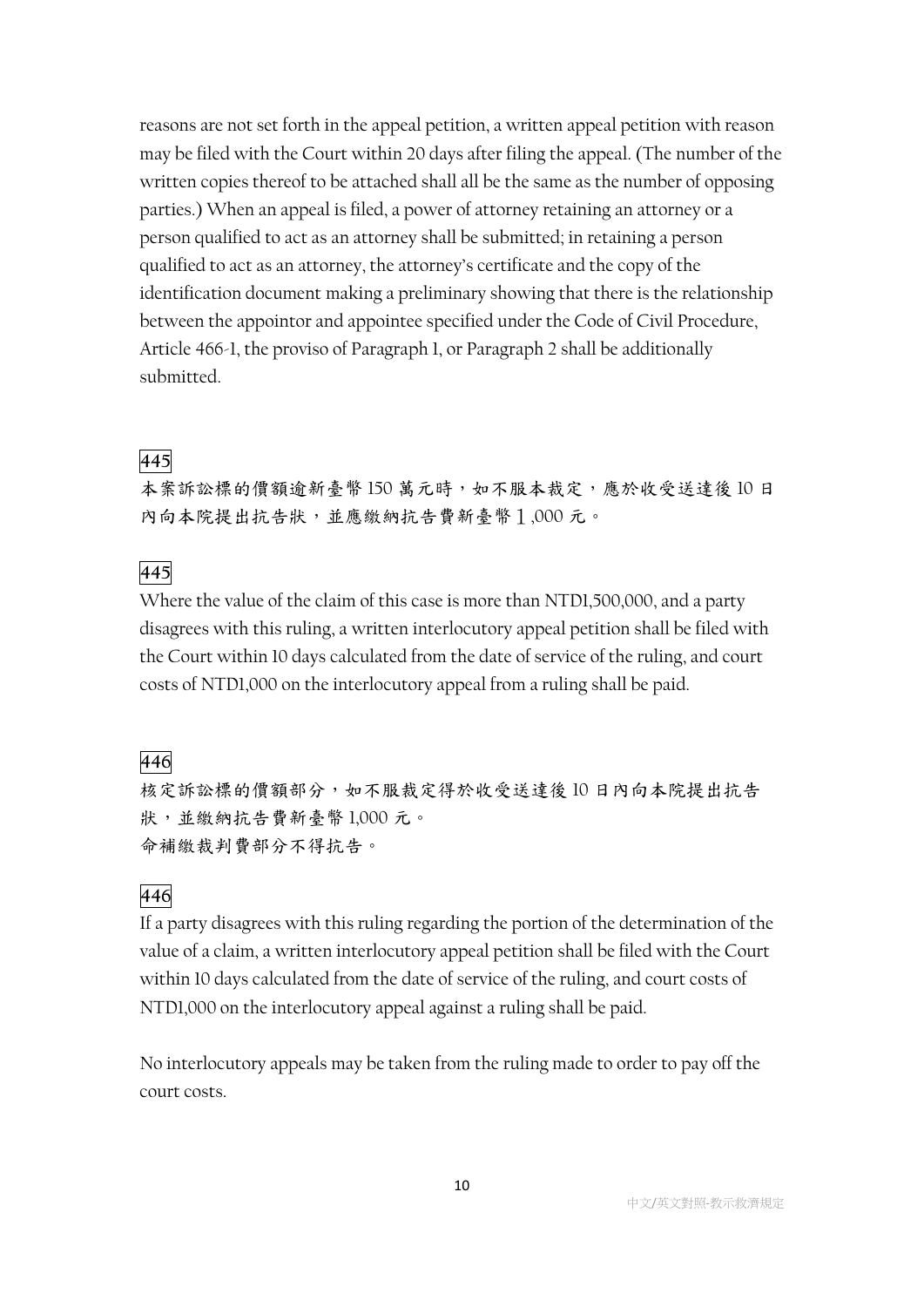reasons are not set forth in the appeal petition, a written appeal petition with reason may be filed with the Court within 20 days after filing the appeal. (The number of the written copies thereof to be attached shall all be the same as the number of opposing parties.) When an appeal is filed, a power of attorney retaining an attorney or a person qualified to act as an attorney shall be submitted; in retaining a person qualified to act as an attorney, the attorney's certificate and the copy of the identification document making a preliminary showing that there is the relationship between the appointor and appointee specified under the Code of Civil Procedure, Article 466-1, the proviso of Paragraph 1, or Paragraph 2 shall be additionally submitted.

## **445**

本案訴訟標的價額逾新臺幣150萬元時,如不服本裁定,應於收受送達後10日 內向本院提出抗告狀,並應繳納抗告費新臺幣1,000 元。

### **445**

Where the value of the claim of this case is more than NTD1,500,000, and a party disagrees with this ruling, a written interlocutory appeal petition shall be filed with the Court within 10 days calculated from the date of service of the ruling, and court costs of NTD1,000 on the interlocutory appeal from a ruling shall be paid.

## **446**

核定訴訟標的價額部分,如不服裁定得於收受送達後 10 日內向本院提出抗告 狀,並繳納抗告費新臺幣 1,000 元。 命補繳裁判費部分不得抗告。

## **446**

If a party disagrees with this ruling regarding the portion of the determination of the value of a claim, a written interlocutory appeal petition shall be filed with the Court within 10 days calculated from the date of service of the ruling, and court costs of NTD1,000 on the interlocutory appeal against a ruling shall be paid.

No interlocutory appeals may be taken from the ruling made to order to pay off the court costs.